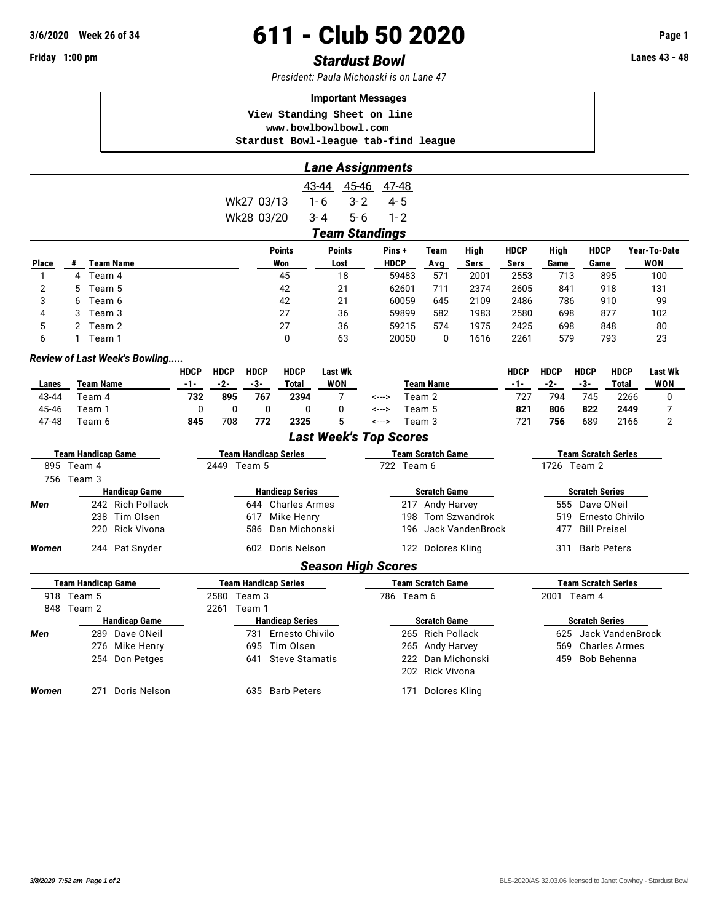## **3/6/2020 Week 26 of 34 611 - Club 50 2020 Page 1**

## **Friday 1:00 pm** *Stardust Bowl* **Lanes 43 - 48**

*President: Paula Michonski is on Lane 47*

| <b>Important Messages</b>            |  |  |  |  |  |  |  |  |  |  |  |
|--------------------------------------|--|--|--|--|--|--|--|--|--|--|--|
| View Standing Sheet on line          |  |  |  |  |  |  |  |  |  |  |  |
| www.bowlbowlbowl.com                 |  |  |  |  |  |  |  |  |  |  |  |
| Stardust Bowl-league tab-find league |  |  |  |  |  |  |  |  |  |  |  |

|                           |                           |                               |                             |             |                             |                       |            | <b>Lane Assignments</b>       |                           |              |                          |                      |                       |                            |                        |                            |                |  |
|---------------------------|---------------------------|-------------------------------|-----------------------------|-------------|-----------------------------|-----------------------|------------|-------------------------------|---------------------------|--------------|--------------------------|----------------------|-----------------------|----------------------------|------------------------|----------------------------|----------------|--|
|                           |                           |                               |                             |             |                             |                       | 43-44      |                               | 45-46 47-48               |              |                          |                      |                       |                            |                        |                            |                |  |
|                           |                           |                               |                             |             | Wk27 03/13                  |                       | $1 - 6$    | $3 - 2$                       | $4 - 5$                   |              |                          |                      |                       |                            |                        |                            |                |  |
|                           |                           |                               | Wk28 03/20                  |             | $3 - 4$                     | $5-6$                 |            | $1 - 2$                       |                           |              |                          |                      |                       |                            |                        |                            |                |  |
|                           |                           |                               |                             |             |                             |                       |            | <b>Team Standings</b>         |                           |              |                          |                      |                       |                            |                        |                            |                |  |
|                           |                           |                               |                             |             |                             | <b>Points</b>         |            | <b>Points</b>                 | Pins+                     |              | <b>Team</b>              | High                 | <b>HDCP</b>           | High                       | <b>HDCP</b>            |                            | Year-To-Date   |  |
| Place                     | <b>Team Name</b><br>#     |                               |                             |             |                             | Won                   |            | Lost                          | <b>HDCP</b>               |              | Avg                      | Sers                 | <b>Sers</b>           | Game                       | Game                   |                            | WON            |  |
| $\mathbf{1}$              | 4 Team 4                  |                               |                             |             |                             | 45                    |            | 18                            | 59483                     |              | 571<br>2001              |                      | 2553                  |                            | 895<br>713             |                            | 100            |  |
| $\overline{2}$            | Team 5<br>5               |                               |                             |             |                             | 42                    | 21         |                               | 62601                     |              | 2374<br>711              |                      | 2605                  | 841<br>918                 |                        |                            | 131            |  |
| 3                         | Team 6<br>6               |                               |                             |             |                             | 42                    | 21         |                               | 60059                     |              | 2109<br>645              |                      | 2486                  | 786<br>910                 |                        |                            | 99             |  |
| 4                         | Team 3<br>3               |                               |                             |             |                             | 27                    | 36         |                               |                           | 59899<br>582 |                          | 1983                 | 2580                  | 877<br>698                 |                        |                            | 102            |  |
| 5                         | Team 2<br>2               |                               |                             |             |                             | 27                    | 36         |                               |                           | 59215        | 1975<br>574              |                      | 2425                  | 698<br>848                 |                        |                            | 80             |  |
| 6                         | Team 1<br>1               |                               |                             |             |                             | 0                     |            | 63                            | 20050<br>$\Omega$<br>1616 |              | 2261                     | 579                  |                       | 793<br>23                  |                        |                            |                |  |
|                           |                           | Review of Last Week's Bowling |                             |             |                             |                       |            |                               |                           |              |                          |                      |                       |                            |                        |                            |                |  |
|                           |                           |                               | <b>HDCP</b>                 | <b>HDCP</b> | <b>HDCP</b>                 | <b>HDCP</b>           |            | <b>Last Wk</b>                |                           |              |                          |                      | <b>HDCP</b>           | <b>HDCP</b>                | <b>HDCP</b>            | <b>HDCP</b>                | <b>Last Wk</b> |  |
| Lanes                     | <b>Team Name</b>          |                               | -1-                         | $-2-$       | $-3-$                       | <b>Total</b>          |            | WON                           |                           |              | Team Name                |                      | $-1-$                 | $-2-$                      | $-3-$                  | Total                      | WON            |  |
| 43-44                     | Team 4                    |                               | 732                         | 895         | 767                         | 2394                  |            | 7                             | <--->                     | Team 2       |                          | 727                  | 794                   | 745                        | 2266                   | 0                          |                |  |
| 45-46                     | Team 1                    |                               | $\pmb{\theta}$              | $\theta$    | $\theta$                    | $\theta$              |            | 0                             | <--->                     |              | Team 5                   |                      | 821                   | 806                        | 822                    | 2449                       | 7              |  |
| 47-48<br>Team 6           |                           | 845                           | 708                         | 772         | 2325                        |                       | 5          | <--->                         | Team 3                    |              |                          | 721                  | 756                   | 689                        | 2166                   | $\overline{2}$             |                |  |
|                           |                           |                               |                             |             |                             |                       |            | <b>Last Week's Top Scores</b> |                           |              |                          |                      |                       |                            |                        |                            |                |  |
| <b>Team Handicap Game</b> |                           |                               | <b>Team Handicap Series</b> |             |                             |                       |            |                               | <b>Team Scratch Game</b>  |              |                          |                      |                       | <b>Team Scratch Series</b> |                        |                            |                |  |
|                           | 895 Team 4                |                               |                             |             | 2449 Team 5                 |                       |            |                               | 722 Team 6                |              |                          |                      |                       | 1726 Team 2                |                        |                            |                |  |
|                           | 756 Team 3                |                               |                             |             |                             |                       |            |                               |                           |              |                          |                      |                       |                            |                        |                            |                |  |
|                           | <b>Handicap Game</b>      |                               |                             |             | <b>Handicap Series</b>      |                       |            | <b>Scratch Game</b>           |                           |              |                          |                      | <b>Scratch Series</b> |                            |                        |                            |                |  |
| Men                       |                           | 242 Rich Pollack              |                             |             | 644                         | <b>Charles Armes</b>  |            |                               |                           |              |                          | 217 Andy Harvey      |                       |                            | 555<br>Dave ONeil      |                            |                |  |
|                           | 238 Tim Olsen             |                               |                             |             | 617                         | Mike Henry            |            |                               |                           |              |                          | 198 Tom Szwandrok    |                       |                            | 519<br>Ernesto Chivilo |                            |                |  |
|                           | 220 Rick Vivona           |                               |                             |             | 586                         | Dan Michonski         |            |                               |                           |              |                          | 196 Jack VandenBrock |                       | <b>Bill Preisel</b><br>477 |                        |                            |                |  |
| Women                     |                           | 244 Pat Snyder                |                             |             | 602                         | Doris Nelson          |            |                               |                           |              | 122 Dolores Kling        |                      |                       | 311                        |                        | <b>Barb Peters</b>         |                |  |
|                           |                           |                               |                             |             |                             |                       |            | <b>Season High Scores</b>     |                           |              |                          |                      |                       |                            |                        |                            |                |  |
|                           | <b>Team Handicap Game</b> |                               |                             |             | <b>Team Handicap Series</b> |                       |            |                               |                           |              | <b>Team Scratch Game</b> |                      |                       |                            |                        | <b>Team Scratch Series</b> |                |  |
| 918 Team 5                |                           |                               | 2580 Team 3                 |             |                             |                       | 786 Team 6 |                               |                           |              |                          |                      | 2001 Team 4           |                            |                        |                            |                |  |
|                           | 848 Team 2                |                               |                             | 2261 Team 1 |                             |                       |            |                               |                           |              |                          |                      |                       |                            |                        |                            |                |  |
| <b>Handicap Game</b>      |                           |                               | <b>Handicap Series</b>      |             |                             |                       |            |                               | <b>Scratch Game</b>       |              |                          |                      |                       | <b>Scratch Series</b>      |                        |                            |                |  |
| Men                       |                           | 289 Dave ONeil                |                             |             | 731                         | Ernesto Chivilo       |            |                               |                           |              | 265 Rich Pollack         |                      |                       | 625                        |                        | Jack VandenBrock           |                |  |
|                           |                           | 276 Mike Henry                |                             |             |                             | 695 Tim Olsen         |            |                               |                           | 265          | Andy Harvey              |                      |                       | 569                        |                        | <b>Charles Armes</b>       |                |  |
|                           | 254 Don Petges            |                               |                             |             | 641                         | <b>Steve Stamatis</b> |            |                               | Dan Michonski<br>222      |              |                          |                      | 459                   |                            | Bob Behenna            |                            |                |  |
|                           |                           |                               |                             |             |                             |                       |            |                               |                           |              | 202 Rick Vivona          |                      |                       |                            |                        |                            |                |  |
| Women                     | 271 Doris Nelson          |                               |                             |             |                             | 635 Barb Peters       |            |                               |                           |              | 171 Dolores Kling        |                      |                       |                            |                        |                            |                |  |